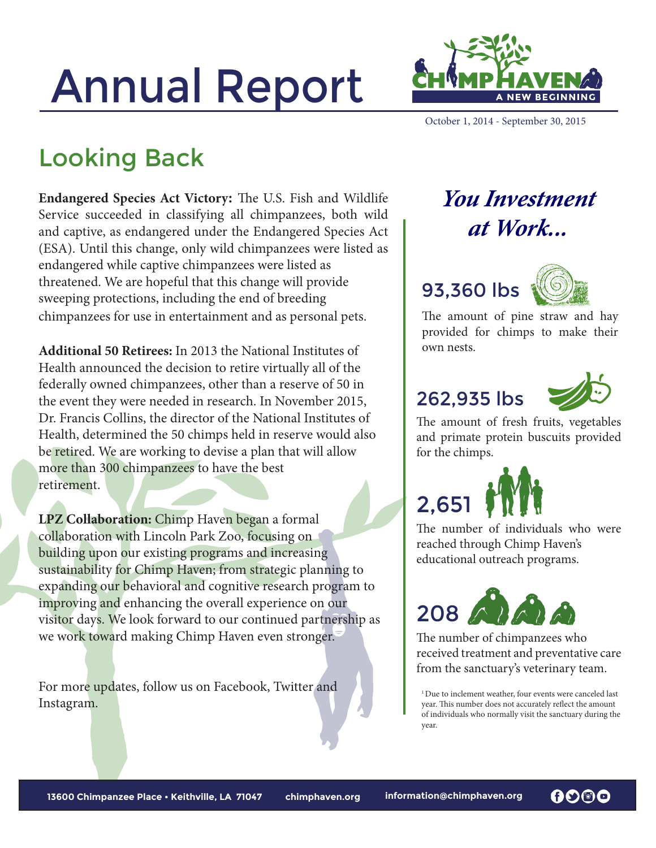# Annual Report



October 1, 2014 - September 30, 2015

### Looking Back

**Endangered Species Act Victory:** The U.S. Fish and Wildlife Service succeeded in classifying all chimpanzees, both wild and captive, as endangered under the Endangered Species Act (ESA). Until this change, only wild chimpanzees were listed as endangered while captive chimpanzees were listed as threatened. We are hopeful that this change will provide sweeping protections, including the end of breeding chimpanzees for use in entertainment and as personal pets.

**Additional 50 Retirees:** In 2013 the National Institutes of Health announced the decision to retire virtually all of the federally owned chimpanzees, other than a reserve of 50 in the event they were needed in research. In November 2015, Dr. Francis Collins, the director of the National Institutes of Health, determined the 50 chimps held in reserve would also be retired. We are working to devise a plan that will allow more than 300 chimpanzees to have the best retirement.

**LPZ Collaboration:** Chimp Haven began a formal collaboration with Lincoln Park Zoo, focusing on building upon our existing programs and increasing sustainability for Chimp Haven; from strategic planning to expanding our behavioral and cognitive research program to improving and enhancing the overall experience on our visitor days. We look forward to our continued partnership as we work toward making Chimp Haven even stronger.

For more updates, follow us on Facebook, Twitter and Instagram.

#### *You Investment at Work...*

#### 93,360 lbs



The amount of pine straw and hay provided for chimps to make their own nests.

#### 262,935 lbs



The amount of fresh fruits, vegetables and primate protein buscuits provided for the chimps.



The number of individuals who were reached through Chimp Haven's educational outreach programs.



The number of chimpanzees who received treatment and preventative care from the sanctuary's veterinary team.

 $^{\rm l}$  Due to inclement weather, four events were canceled last year. This number does not accurately reflect the amount of individuals who normally visit the sanctuary during the year.